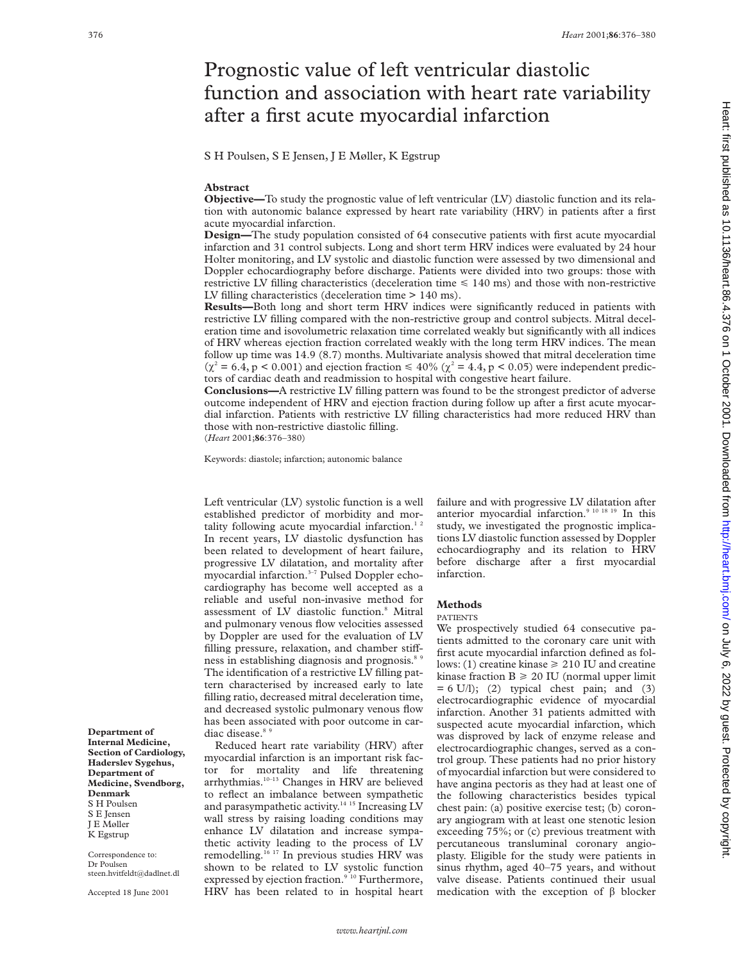# Prognostic value of left ventricular diastolic function and association with heart rate variability after a first acute myocardial infarction

S H Poulsen, S E Jensen, J E Møller, K Egstrup

## **Abstract**

**Objective—**To study the prognostic value of left ventricular (LV) diastolic function and its relation with autonomic balance expressed by heart rate variability (HRV) in patients after a first acute myocardial infarction.

**Design—**The study population consisted of 64 consecutive patients with first acute myocardial infarction and 31 control subjects. Long and short term HRV indices were evaluated by 24 hour Holter monitoring, and LV systolic and diastolic function were assessed by two dimensional and Doppler echocardiography before discharge. Patients were divided into two groups: those with restrictive LV filling characteristics (deceleration time  $\leq 140$  ms) and those with non-restrictive LV filling characteristics (deceleration time > 140 ms).

**Results—**Both long and short term HRV indices were significantly reduced in patients with restrictive LV filling compared with the non-restrictive group and control subjects. Mitral deceleration time and isovolumetric relaxation time correlated weakly but significantly with all indices of HRV whereas ejection fraction correlated weakly with the long term HRV indices. The mean follow up time was 14.9 (8.7) months. Multivariate analysis showed that mitral deceleration time  $(\chi^2 = 6.4, p < 0.001)$  and ejection fraction  $\leq 40\%$  ( $\chi^2 = 4.4, p < 0.05$ ) were independent predictors of cardiac death and readmission to hospital with congestive heart failure.

**Conclusions—**A restrictive LV filling pattern was found to be the strongest predictor of adverse outcome independent of HRV and ejection fraction during follow up after a first acute myocardial infarction. Patients with restrictive LV filling characteristics had more reduced HRV than those with non-restrictive diastolic filling.

(*Heart* 2001;**86**:376–380)

Keywords: diastole; infarction; autonomic balance

Left ventricular (LV) systolic function is a well established predictor of morbidity and mortality following acute myocardial infarction.<sup>1</sup> In recent years, LV diastolic dysfunction has been related to development of heart failure, progressive LV dilatation, and mortality after myocardial infarction.3–7 Pulsed Doppler echocardiography has become well accepted as a reliable and useful non-invasive method for assessment of LV diastolic function.8 Mitral and pulmonary venous flow velocities assessed by Doppler are used for the evaluation of LV filling pressure, relaxation, and chamber stiffness in establishing diagnosis and prognosis.<sup>8</sup> The identification of a restrictive LV filling pattern characterised by increased early to late filling ratio, decreased mitral deceleration time, and decreased systolic pulmonary venous flow has been associated with poor outcome in cardiac disease.<sup>85</sup>

Reduced heart rate variability (HRV) after myocardial infarction is an important risk factor for mortality and life threatening arrhythmias.10–13 Changes in HRV are believed to reflect an imbalance between sympathetic and parasympathetic activity.<sup>14 15</sup> Increasing LV wall stress by raising loading conditions may enhance LV dilatation and increase sympathetic activity leading to the process of LV remodelling.16 17 In previous studies HRV was shown to be related to LV systolic function expressed by ejection fraction.<sup>9 10</sup> Furthermore, HRV has been related to in hospital heart failure and with progressive LV dilatation after anterior myocardial infarction.<sup>9 10 18 19</sup> In this study, we investigated the prognostic implications LV diastolic function assessed by Doppler echocardiography and its relation to HRV before discharge after a first myocardial infarction.

## **Methods**

#### PATIENTS

We prospectively studied 64 consecutive patients admitted to the coronary care unit with first acute myocardial infarction defined as follows: (1) creatine kinase  $\geq 210$  IU and creatine kinase fraction  $B \ge 20$  IU (normal upper limit  $= 6$  U/l); (2) typical chest pain; and (3) electrocardiographic evidence of myocardial infarction. Another 31 patients admitted with suspected acute myocardial infarction, which was disproved by lack of enzyme release and electrocardiographic changes, served as a control group. These patients had no prior history of myocardial infarction but were considered to have angina pectoris as they had at least one of the following characteristics besides typical chest pain: (a) positive exercise test; (b) coronary angiogram with at least one stenotic lesion exceeding 75%; or (c) previous treatment with percutaneous transluminal coronary angioplasty. Eligible for the study were patients in sinus rhythm, aged 40–75 years, and without valve disease. Patients continued their usual medication with the exception of  $\beta$  blocker

Correspondence to: Dr Poulsen steen.hvitfeldt@dadlnet.dl

**Department of Internal Medicine, Section of Cardiology, Haderslev Sygehus, Department of Medicine, Svendborg,**

**Denmark** S H Poulsen S E Jensen J E Møller K Egstrup

Accepted 18 June 2001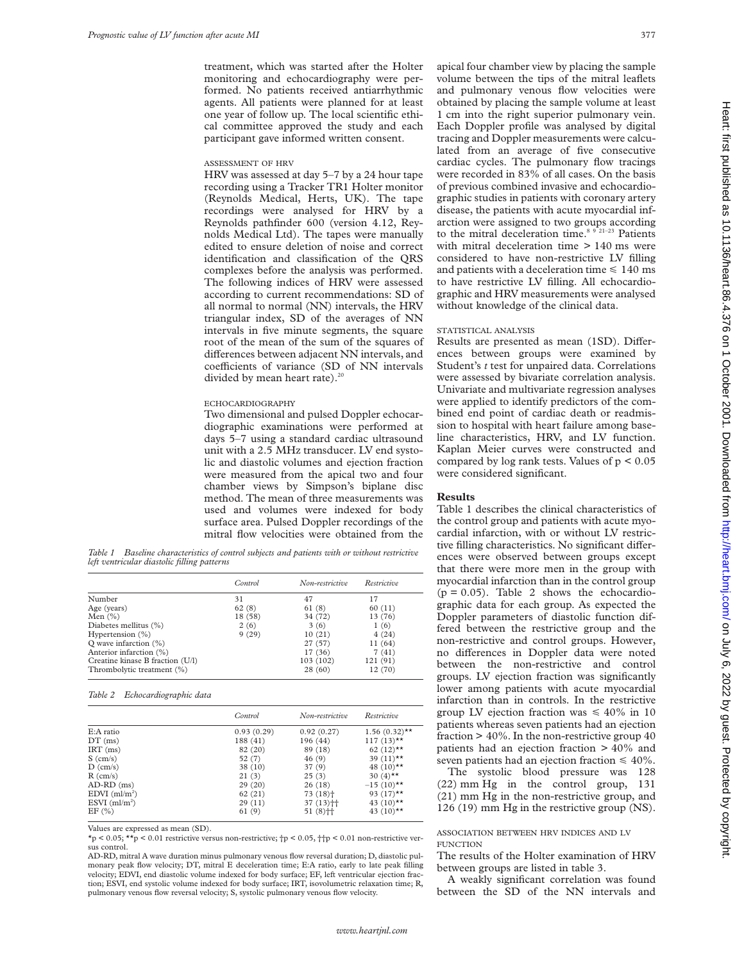treatment, which was started after the Holter monitoring and echocardiography were performed. No patients received antiarrhythmic agents. All patients were planned for at least one year of follow up. The local scientific ethical committee approved the study and each participant gave informed written consent.

#### ASSESSMENT OF HRV

HRV was assessed at day 5–7 by a 24 hour tape recording using a Tracker TR1 Holter monitor (Reynolds Medical, Herts, UK). The tape recordings were analysed for HRV by a Reynolds pathfinder 600 (version 4.12, Reynolds Medical Ltd). The tapes were manually edited to ensure deletion of noise and correct identification and classification of the QRS complexes before the analysis was performed. The following indices of HRV were assessed according to current recommendations: SD of all normal to normal (NN) intervals, the HRV triangular index, SD of the averages of NN intervals in five minute segments, the square root of the mean of the sum of the squares of differences between adjacent NN intervals, and coefficients of variance (SD of NN intervals divided by mean heart rate). $^{2}$ 

## ECHOCARDIOGRAPHY

Two dimensional and pulsed Doppler echocardiographic examinations were performed at days 5–7 using a standard cardiac ultrasound unit with a 2.5 MHz transducer. LV end systolic and diastolic volumes and ejection fraction were measured from the apical two and four chamber views by Simpson's biplane disc method. The mean of three measurements was used and volumes were indexed for body surface area. Pulsed Doppler recordings of the mitral flow velocities were obtained from the

*Table 1 Baseline characteristics of control subjects and patients with or without restrictive left ventricular diastolic filling patterns*

|                                  | Control | Non-restrictive | Restrictive |
|----------------------------------|---------|-----------------|-------------|
| Number                           | 31      | 47              | 17          |
| Age (years)                      | 62(8)   | 61(8)           | 60(11)      |
| Men $(\% )$                      | 18 (58) | 34 (72)         | 13 (76)     |
| Diabetes mellitus (%)            | 2(6)    | 3(6)            | 1(6)        |
| Hypertension $(\%)$              | 9(29)   | 10(21)          | 4(24)       |
| O wave infarction $(\%)$         |         | 27 (57)         | 11 (64)     |
| Anterior infarction (%)          |         | 17 (36)         | 7(41)       |
| Creatine kinase B fraction (U/l) |         | 103 (102)       | 121(91)     |
| Thrombolytic treatment (%)       |         | 28(60)          | 12 (70)     |

#### *Table 2 Echocardiographic data*

|                             | Control    | Non-restrictive        | Restrictive             |
|-----------------------------|------------|------------------------|-------------------------|
| E:A ratio                   | 0.93(0.29) | 0.92(0.27)             | $1.56(0.32)$ **         |
| $DT$ (ms)                   | 188 (41)   | 196 (44)               | $117(13)$ **            |
| $IRT$ (ms)                  | 82 (20)    | 89 (18)                | $62 (12)$ **            |
| $S$ (cm/s)                  | 52(7)      | 46 (9)                 | 39 $(11)$ **            |
| $D$ (cm/s)                  | 38 (10)    | 37(9)                  | 48 $(10)$ <sup>**</sup> |
| $R$ (cm/s)                  | 21(3)      | 25(3)                  | 30 $(4)$ <sup>**</sup>  |
| $AD-RD$ (ms)                | 29(20)     | 26(18)                 | $-15(10)$ **            |
| $EDVI$ (ml/m <sup>2</sup> ) | 62(21)     | $73(18)$ <sup>+</sup>  | 93 $(17)$ <sup>**</sup> |
| ESVI $(ml/m2)$              | 29(11)     | $37(13)$ <sup>++</sup> | 43 $(10)$ <sup>**</sup> |
| EF(%)                       | 61 (9)     | $51(8)$ <sup>++</sup>  | 43 $(10)$ <sup>**</sup> |

Values are expressed as mean (SD).

\*p < 0.05; \*\*p < 0.01 restrictive versus non-restrictive; †p < 0.05, ††p < 0.01 non-restrictive versus control.

AD-RD, mitral A wave duration minus pulmonary venous flow reversal duration; D, diastolic pulmonary peak flow velocity; DT, mitral E deceleration time; E:A ratio, early to late peak filling velocity; EDVI, end diastolic volume indexed for body surface; EF, left ventricular ejection fraction; ESVI, end systolic volume indexed for body surface; IRT, isovolumetric relaxation time; R, pulmonary venous flow reversal velocity; S, systolic pulmonary venous flow velocity.

apical four chamber view by placing the sample volume between the tips of the mitral leaflets and pulmonary venous flow velocities were obtained by placing the sample volume at least 1 cm into the right superior pulmonary vein. Each Doppler profile was analysed by digital tracing and Doppler measurements were calculated from an average of five consecutive cardiac cycles. The pulmonary flow tracings were recorded in 83% of all cases. On the basis of previous combined invasive and echocardiographic studies in patients with coronary artery disease, the patients with acute myocardial infarction were assigned to two groups according to the mitral deceleration time.<sup>8 9 21-23</sup> Patients with mitral deceleration time  $> 140$  ms were considered to have non-restrictive LV filling and patients with a deceleration time  $\leq 140$  ms to have restrictive LV filling. All echocardiographic and HRV measurements were analysed without knowledge of the clinical data.

#### STATISTICAL ANALYSIS

Results are presented as mean (1SD). Differences between groups were examined by Student's *t* test for unpaired data. Correlations were assessed by bivariate correlation analysis. Univariate and multivariate regression analyses were applied to identify predictors of the combined end point of cardiac death or readmission to hospital with heart failure among baseline characteristics, HRV, and LV function. Kaplan Meier curves were constructed and compared by log rank tests. Values of  $p < 0.05$ were considered significant.

# **Results**

Table 1 describes the clinical characteristics of the control group and patients with acute myocardial infarction, with or without LV restrictive filling characteristics. No significant differences were observed between groups except that there were more men in the group with myocardial infarction than in the control group  $(p = 0.05)$ . Table 2 shows the echocardiographic data for each group. As expected the Doppler parameters of diastolic function differed between the restrictive group and the non-restrictive and control groups. However, no differences in Doppler data were noted between the non-restrictive and control groups. LV ejection fraction was significantly lower among patients with acute myocardial infarction than in controls. In the restrictive group LV ejection fraction was  $\leq 40\%$  in 10 patients whereas seven patients had an ejection fraction  $> 40\%$ . In the non-restrictive group 40 patients had an ejection fraction > 40% and seven patients had an ejection fraction  $\leq 40\%$ .

The systolic blood pressure was 128 (22) mm Hg in the control group, 131 (21) mm Hg in the non-restrictive group, and 126 (19) mm Hg in the restrictive group (NS).

# ASSOCIATION BETWEEN HRV INDICES AND LV **FUNCTION**

The results of the Holter examination of HRV between groups are listed in table 3.

A weakly significant correlation was found between the SD of the NN intervals and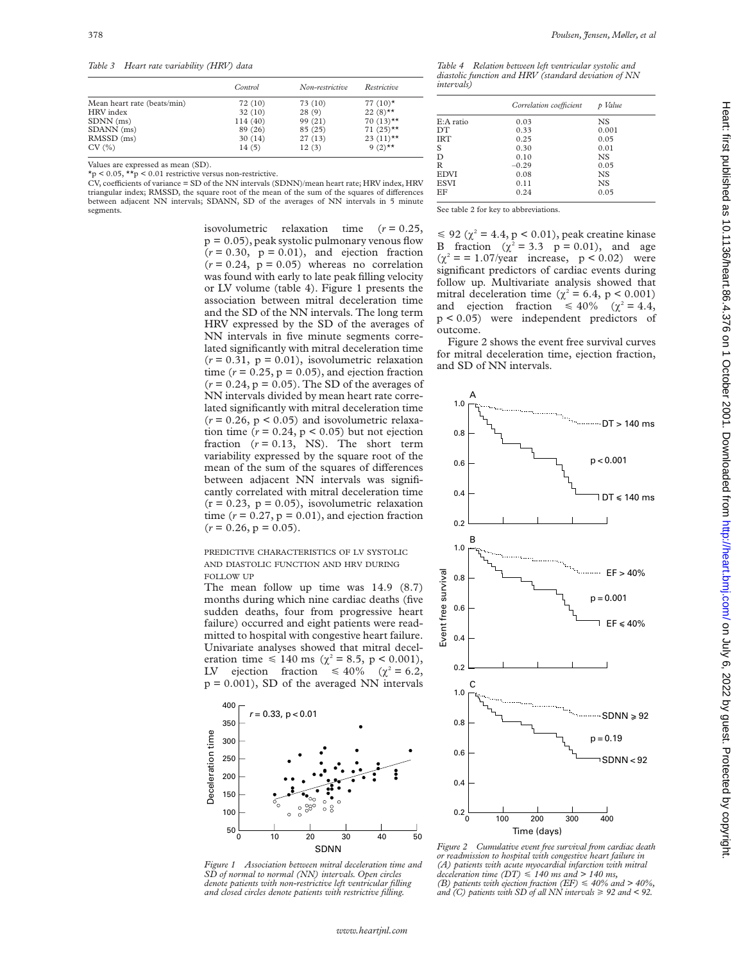*Table 3 Heart rate variability (HRV) data*

| Control | Non-restrictive | Restrictive             |
|---------|-----------------|-------------------------|
| 72 (10) | 73 (10)         | 77 $(10)^*$             |
| 32(10)  | 28(9)           | $22(8)$ **              |
| 114(40) | 99 (21)         | $70(13)$ **             |
| 89 (26) | 85(25)          | $71(25)$ **             |
| 30(14)  | 27(13)          | 23 $(11)$ <sup>**</sup> |
| 14(5)   | 12(3)           | 9 $(2)$ **              |
|         |                 |                         |

Values are expressed as mean (SD).  $*_p$  < 0.05,  $\star \star_p$  < 0.01 restrictive versus non-restrictive.

CV, coefficients of variance = SD of the NN intervals (SDNN)/mean heart rate; HRV index, HRV triangular index; RMSSD, the square root of the mean of the sum of the squares of differences between adjacent NN intervals; SDANN, SD of the averages of NN intervals in 5 minute segments.

> isovolumetric relaxation time (*r* = 0.25,  $p = 0.05$ , peak systolic pulmonary venous flow  $(r = 0.30, p = 0.01)$ , and ejection fraction  $(r = 0.24, p = 0.05)$  whereas no correlation was found with early to late peak filling velocity or LV volume (table 4). Figure 1 presents the association between mitral deceleration time and the SD of the NN intervals. The long term HRV expressed by the SD of the averages of NN intervals in five minute segments correlated significantly with mitral deceleration time  $(r = 0.31, p = 0.01)$ , isovolumetric relaxation time  $(r = 0.25, p = 0.05)$ , and ejection fraction  $(r = 0.24, p = 0.05)$ . The SD of the averages of NN intervals divided by mean heart rate correlated significantly with mitral deceleration time  $(r = 0.26, p < 0.05)$  and isovolumetric relaxation time  $(r = 0.24, p < 0.05)$  but not ejection fraction  $(r = 0.13, NS)$ . The short term variability expressed by the square root of the mean of the sum of the squares of differences between adjacent NN intervals was significantly correlated with mitral deceleration time  $(r = 0.23, p = 0.05)$ , isovolumetric relaxation time  $(r = 0.27, p = 0.01)$ , and ejection fraction  $(r = 0.26, p = 0.05).$

PREDICTIVE CHARACTERISTICS OF LV SYSTOLIC AND DIASTOLIC FUNCTION AND HRV DURING FOLLOW UP

The mean follow up time was 14.9 (8.7) months during which nine cardiac deaths (five sudden deaths, four from progressive heart failure) occurred and eight patients were readmitted to hospital with congestive heart failure. Univariate analyses showed that mitral deceleration time  $\leq 140$  ms ( $\chi^2 = 8.5$ , p < 0.001), LV ejection fraction  $\leq 40\%$  ( $\chi^2 = 6.2$ ,  $p = 0.001$ ), SD of the averaged NN intervals



*Figure 1 Association between mitral deceleration time and SD of normal to normal (NN) intervals. Open circles denote patients with non-restrictive left ventricular filling and closed circles denote patients with restrictive filling.*

*Table 4 Relation between left ventricular systolic and diastolic function and HRV (standard deviation of NN intervals)*

|             | Correlation coefficient | Value     |
|-------------|-------------------------|-----------|
| E:A ratio   | 0.03                    | NS.       |
| DТ          | 0.33                    | 0.001     |
| <b>IRT</b>  | 0.25                    | 0.05      |
| S           | 0.30                    | 0.01      |
| D           | 0.10                    | <b>NS</b> |
| R           | $-0.29$                 | 0.05      |
| <b>EDVI</b> | 0.08                    | <b>NS</b> |
| <b>ESVI</b> | 0.11                    | <b>NS</b> |
| EF          | 0.24                    | 0.05      |
|             |                         |           |

See table 2 for key to abbreviations.

 $\leq 92$  ( $\chi^2 = 4.4$ , p < 0.01), peak creatine kinase B fraction  $(\chi^2 = 3.3 \text{ p} = 0.01)$ , and age  $(\chi^2 = 1.07/\text{year}$  increase, p < 0.02) were significant predictors of cardiac events during follow up. Multivariate analysis showed that mitral deceleration time ( $\chi^2$  = 6.4, p < 0.001) and ejection fraction  $\leq 40\%$  ( $\chi^2 = 4.4$ , p < 0.05) were independent predictors of outcome.

Figure 2 shows the event free survival curves for mitral deceleration time, ejection fraction, and SD of NN intervals.



*Figure 2 Cumulative event free survival from cardiac death or readmission to hospital with congestive heart failure in (A) patients with acute myocardial infarction with mitral deceleration time (DT)* < *140 ms and > 140 ms, (B) patients with ejection fraction (EF)* < *40% and > 40%, and (C) patients with SD of all NN intervals*  $\geq 92$  *and* < 92.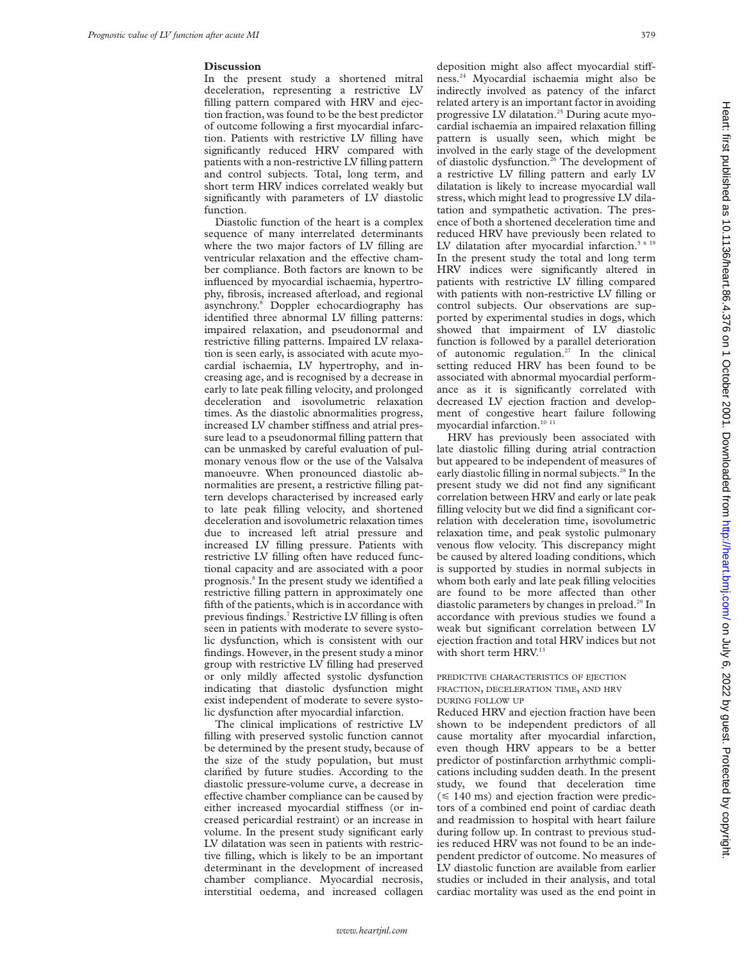# **Discussion**

In the present study a shortened mitral deceleration, representing a restrictive LV filling pattern compared with HRV and ejection fraction, was found to be the best predictor of outcome following a first myocardial infarction. Patients with restrictive LV filling have significantly reduced HRV compared with patients with a non-restrictive LV filling pattern and control subjects. Total, long term, and short term HRV indices correlated weakly but significantly with parameters of LV diastolic function.

Diastolic function of the heart is a complex sequence of many interrelated determinants where the two major factors of LV filling are ventricular relaxation and the effective chamber compliance. Both factors are known to be influenced by myocardial ischaemia, hypertrophy, fibrosis, increased afterload, and regional asynchrony.8 Doppler echocardiography has identified three abnormal LV filling patterns: impaired relaxation, and pseudonormal and restrictive filling patterns. Impaired LV relaxation is seen early, is associated with acute myocardial ischaemia, LV hypertrophy, and increasing age, and is recognised by a decrease in early to late peak filling velocity, and prolonged deceleration and isovolumetric relaxation times. As the diastolic abnormalities progress, increased LV chamber stiffness and atrial pressure lead to a pseudonormal filling pattern that can be unmasked by careful evaluation of pulmonary venous flow or the use of the Valsalva manoeuvre. When pronounced diastolic abnormalities are present, a restrictive filling pattern develops characterised by increased early to late peak filling velocity, and shortened deceleration and isovolumetric relaxation times due to increased left atrial pressure and increased LV filling pressure. Patients with restrictive LV filling often have reduced functional capacity and are associated with a poor prognosis.8 In the present study we identified a restrictive filling pattern in approximately one fifth of the patients, which is in accordance with previous findings.7 Restrictive LV filling is often seen in patients with moderate to severe systolic dysfunction, which is consistent with our findings. However, in the present study a minor group with restrictive LV filling had preserved or only mildly affected systolic dysfunction indicating that diastolic dysfunction might exist independent of moderate to severe systolic dysfunction after myocardial infarction.

The clinical implications of restrictive LV filling with preserved systolic function cannot be determined by the present study, because of the size of the study population, but must clarified by future studies. According to the diastolic pressure-volume curve, a decrease in effective chamber compliance can be caused by either increased myocardial stiffness (or increased pericardial restraint) or an increase in volume. In the present study significant early LV dilatation was seen in patients with restrictive filling, which is likely to be an important determinant in the development of increased chamber compliance. Myocardial necrosis, interstitial oedema, and increased collagen

deposition might also affect myocardial stiffness.24 Myocardial ischaemia might also be indirectly involved as patency of the infarct related artery is an important factor in avoiding progressive LV dilatation.25 During acute myocardial ischaemia an impaired relaxation filling pattern is usually seen, which might be involved in the early stage of the development of diastolic dysfunction.<sup>26</sup> The development of a restrictive LV filling pattern and early LV dilatation is likely to increase myocardial wall stress, which might lead to progressive LV dilatation and sympathetic activation. The presence of both a shortened deceleration time and reduced HRV have previously been related to LV dilatation after myocardial infarction. $5619$ In the present study the total and long term HRV indices were significantly altered in patients with restrictive LV filling compared with patients with non-restrictive LV filling or control subjects. Our observations are supported by experimental studies in dogs, which showed that impairment of LV diastolic function is followed by a parallel deterioration of autonomic regulation.<sup>27</sup> In the clinical setting reduced HRV has been found to be associated with abnormal myocardial performance as it is significantly correlated with decreased LV ejection fraction and development of congestive heart failure following myocardial infarction.<sup>10 11</sup>

HRV has previously been associated with late diastolic filling during atrial contraction but appeared to be independent of measures of early diastolic filling in normal subjects.<sup>28</sup> In the present study we did not find any significant correlation between HRV and early or late peak filling velocity but we did find a significant correlation with deceleration time, isovolumetric relaxation time, and peak systolic pulmonary venous flow velocity. This discrepancy might be caused by altered loading conditions, which is supported by studies in normal subjects in whom both early and late peak filling velocities are found to be more affected than other diastolic parameters by changes in preload.<sup>29</sup> In accordance with previous studies we found a weak but significant correlation between LV ejection fraction and total HRV indices but not with short term HRV.<sup>13</sup>

# PREDICTIVE CHARACTERISTICS OF EJECTION FRACTION, DECELERATION TIME, AND HRV DURING FOLLOW UP

Reduced HRV and ejection fraction have been shown to be independent predictors of all cause mortality after myocardial infarction, even though HRV appears to be a better predictor of postinfarction arrhythmic complications including sudden death. In the present study, we found that deceleration time  $(\leq 140 \text{ ms})$  and ejection fraction were predictors of a combined end point of cardiac death and readmission to hospital with heart failure during follow up. In contrast to previous studies reduced HRV was not found to be an independent predictor of outcome. No measures of LV diastolic function are available from earlier studies or included in their analysis, and total cardiac mortality was used as the end point in